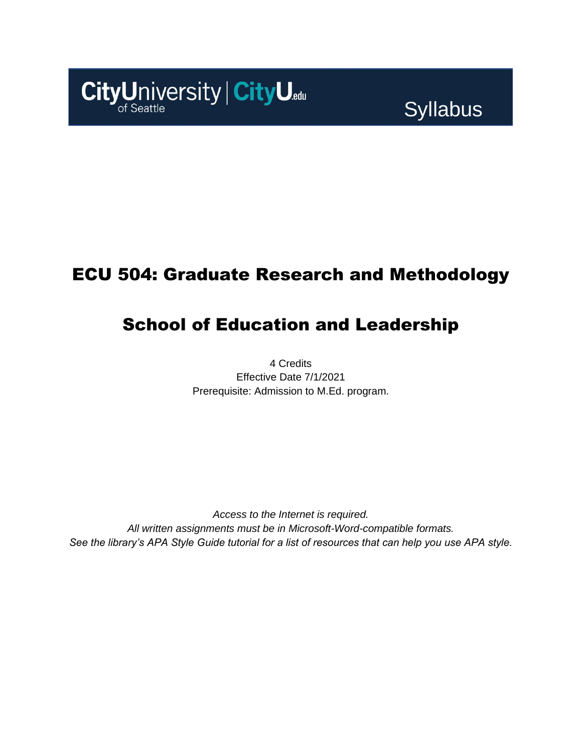

# **Syllabus**

### ECU 504: Graduate Research and Methodology

### School of Education and Leadership

4 Credits Effective Date 7/1/2021 Prerequisite: Admission to M.Ed. program.

*Access to the Internet is required. All written assignments must be in Microsoft-Word-compatible formats. See the library's APA Style Guide tutorial for a list of resources that can help you use APA style.*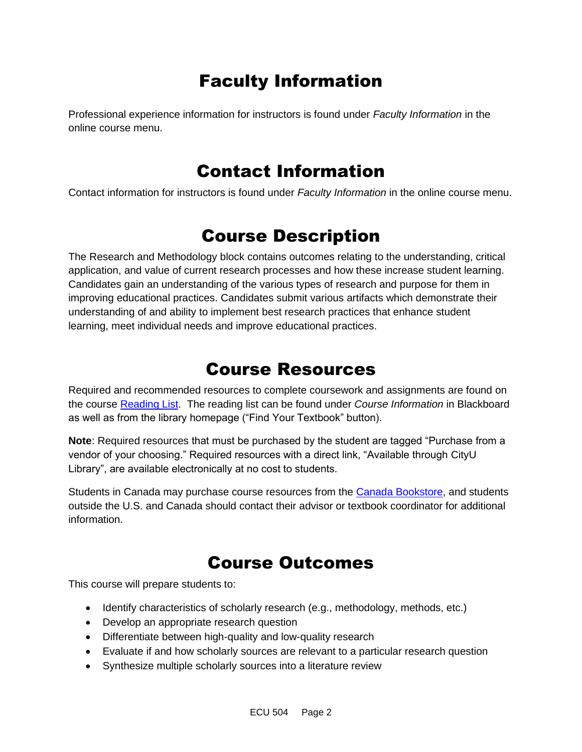## Faculty Information

Professional experience information for instructors is found under *Faculty Information* in the online course menu.

### Contact Information

Contact information for instructors is found under *Faculty Information* in the online course menu.

### Course Description

The Research and Methodology block contains outcomes relating to the understanding, critical application, and value of current research processes and how these increase student learning. Candidates gain an understanding of the various types of research and purpose for them in improving educational practices. Candidates submit various artifacts which demonstrate their understanding of and ability to implement best research practices that enhance student learning, meet individual needs and improve educational practices.

### Course Resources

Required and recommended resources to complete coursework and assignments are found on the course [Reading List.](https://cityu.alma.exlibrisgroup.com/leganto/login?auth=SAML) The reading list can be found under *Course Information* in Blackboard as well as from the library homepage ("Find Your Textbook" button).

**Note**: Required resources that must be purchased by the student are tagged "Purchase from a vendor of your choosing." Required resources with a direct link, "Available through CityU Library", are available electronically at no cost to students.

Students in Canada may purchase course resources from the [Canada Bookstore,](https://www.cityubookstore.ca/index.asp) and students outside the U.S. and Canada should contact their advisor or textbook coordinator for additional information.

### Course Outcomes

This course will prepare students to:

- Identify characteristics of scholarly research (e.g., methodology, methods, etc.)
- Develop an appropriate research question
- Differentiate between high-quality and low-quality research
- Evaluate if and how scholarly sources are relevant to a particular research question
- Synthesize multiple scholarly sources into a literature review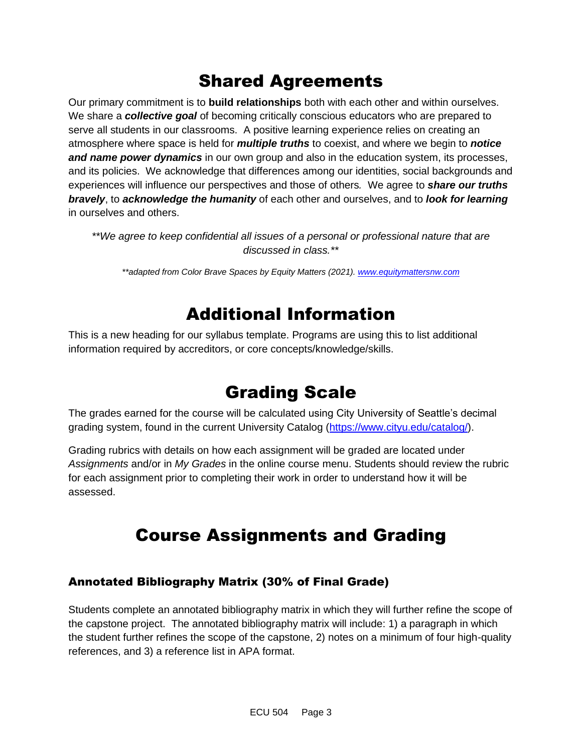### Shared Agreements

Our primary commitment is to **build relationships** both with each other and within ourselves. We share a *collective goal* of becoming critically conscious educators who are prepared to serve all students in our classrooms. A positive learning experience relies on creating an atmosphere where space is held for *multiple truths* to coexist, and where we begin to *notice and name power dynamics* in our own group and also in the education system, its processes, and its policies. We acknowledge that differences among our identities, social backgrounds and experiences will influence our perspectives and those of others*.* We agree to *share our truths bravely*, to *acknowledge the humanity* of each other and ourselves, and to *look for learning* in ourselves and others.

*\*\*We agree to keep confidential all issues of a personal or professional nature that are discussed in class.\*\**

*\*\*adapted from Color Brave Spaces by Equity Matters (2021)[. www.equitymattersnw.com](http://www.equitymattersnw.com/)*

### Additional Information

This is a new heading for our syllabus template. Programs are using this to list additional information required by accreditors, or core concepts/knowledge/skills.

### Grading Scale

The grades earned for the course will be calculated using City University of Seattle's decimal grading system, found in the current University Catalog [\(https://www.cityu.edu/catalog/\)](https://www.cityu.edu/catalog/).

Grading rubrics with details on how each assignment will be graded are located under *Assignments* and/or in *My Grades* in the online course menu. Students should review the rubric for each assignment prior to completing their work in order to understand how it will be assessed.

### Course Assignments and Grading

#### Annotated Bibliography Matrix (30% of Final Grade)

Students complete an annotated bibliography matrix in which they will further refine the scope of the capstone project. The annotated bibliography matrix will include: 1) a paragraph in which the student further refines the scope of the capstone, 2) notes on a minimum of four high-quality references, and 3) a reference list in APA format.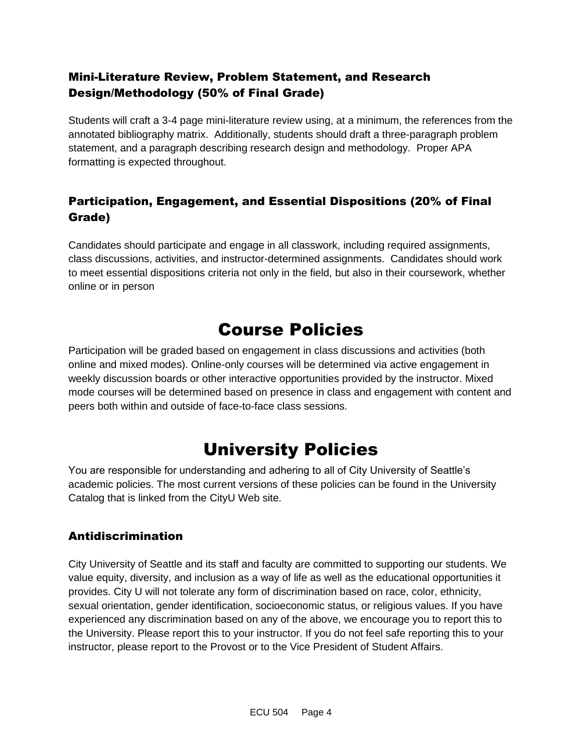#### Mini-Literature Review, Problem Statement, and Research Design/Methodology (50% of Final Grade)

Students will craft a 3-4 page mini-literature review using, at a minimum, the references from the annotated bibliography matrix. Additionally, students should draft a three-paragraph problem statement, and a paragraph describing research design and methodology. Proper APA formatting is expected throughout.

#### Participation, Engagement, and Essential Dispositions (20% of Final Grade)

Candidates should participate and engage in all classwork, including required assignments, class discussions, activities, and instructor-determined assignments. Candidates should work to meet essential dispositions criteria not only in the field, but also in their coursework, whether online or in person

### Course Policies

Participation will be graded based on engagement in class discussions and activities (both online and mixed modes). Online-only courses will be determined via active engagement in weekly discussion boards or other interactive opportunities provided by the instructor. Mixed mode courses will be determined based on presence in class and engagement with content and peers both within and outside of face-to-face class sessions.

### University Policies

You are responsible for understanding and adhering to all of City University of Seattle's academic policies. The most current versions of these policies can be found in the University Catalog that is linked from the CityU Web site.

#### Antidiscrimination

City University of Seattle and its staff and faculty are committed to supporting our students. We value equity, diversity, and inclusion as a way of life as well as the educational opportunities it provides. City U will not tolerate any form of discrimination based on race, color, ethnicity, sexual orientation, gender identification, socioeconomic status, or religious values. If you have experienced any discrimination based on any of the above, we encourage you to report this to the University. Please report this to your instructor. If you do not feel safe reporting this to your instructor, please report to the Provost or to the Vice President of Student Affairs.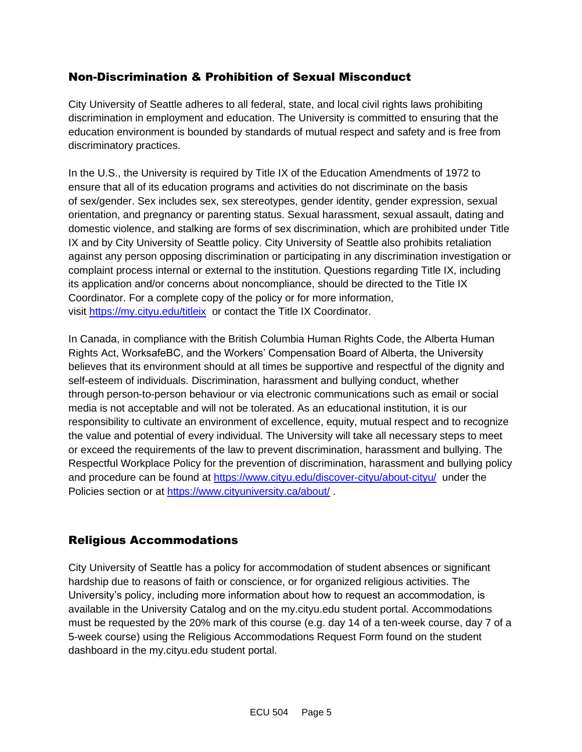#### Non-Discrimination & Prohibition of Sexual Misconduct

City University of Seattle adheres to all federal, state, and local civil rights laws prohibiting discrimination in employment and education. The University is committed to ensuring that the education environment is bounded by standards of mutual respect and safety and is free from discriminatory practices.

In the U.S., the University is required by Title IX of the Education Amendments of 1972 to ensure that all of its education programs and activities do not discriminate on the basis of sex/gender. Sex includes sex, sex stereotypes, gender identity, gender expression, sexual orientation, and pregnancy or parenting status. Sexual harassment, sexual assault, dating and domestic violence, and stalking are forms of sex discrimination, which are prohibited under Title IX and by City University of Seattle policy. City University of Seattle also prohibits retaliation against any person opposing discrimination or participating in any discrimination investigation or complaint process internal or external to the institution. Questions regarding Title IX, including its application and/or concerns about noncompliance, should be directed to the Title IX Coordinator. For a complete copy of the policy or for more information, visit [https://my.cityu.edu/titleix](https://nam11.safelinks.protection.outlook.com/?url=https%3A%2F%2Fmy.cityu.edu%2Ftitleix&data=04%7C01%7Claker%40cityu.edu%7Cbc558c70c10340dbaa2408d9172365a0%7Cb3fa96d9f5154662add763d854e39e63%7C1%7C0%7C637566263054321964%7CUnknown%7CTWFpbGZsb3d8eyJWIjoiMC4wLjAwMDAiLCJQIjoiV2luMzIiLCJBTiI6Ik1haWwiLCJXVCI6Mn0%3D%7C1000&sdata=GX0hgfxN2OMKFTKjD04gqvwwyU44mfnCmEdCtsEzab0%3D&reserved=0) or contact the Title IX Coordinator.

In Canada, in compliance with the British Columbia Human Rights Code, the Alberta Human Rights Act, WorksafeBC, and the Workers' Compensation Board of Alberta, the University believes that its environment should at all times be supportive and respectful of the dignity and self-esteem of individuals. Discrimination, harassment and bullying conduct, whether through person-to-person behaviour or via electronic communications such as email or social media is not acceptable and will not be tolerated. As an educational institution, it is our responsibility to cultivate an environment of excellence, equity, mutual respect and to recognize the value and potential of every individual. The University will take all necessary steps to meet or exceed the requirements of the law to prevent discrimination, harassment and bullying. The Respectful Workplace Policy for the prevention of discrimination, harassment and bullying policy and procedure can be found at [https://www.cityu.edu/discover-cityu/about-cityu/](https://nam11.safelinks.protection.outlook.com/?url=https%3A%2F%2Fwww.cityu.edu%2Fdiscover-cityu%2Fabout-cityu%2F&data=04%7C01%7Claker%40cityu.edu%7Cbc558c70c10340dbaa2408d9172365a0%7Cb3fa96d9f5154662add763d854e39e63%7C1%7C0%7C637566263054331957%7CUnknown%7CTWFpbGZsb3d8eyJWIjoiMC4wLjAwMDAiLCJQIjoiV2luMzIiLCJBTiI6Ik1haWwiLCJXVCI6Mn0%3D%7C1000&sdata=7Q6QoqwuNLfeOJPewViWSeIwRIBy%2BoqDOiP8xSHYm78%3D&reserved=0) under the Policies section or at [https://www.cityuniversity.ca/about/](https://nam11.safelinks.protection.outlook.com/?url=https%3A%2F%2Fwww.cityuniversity.ca%2Fabout%2F&data=04%7C01%7Claker%40cityu.edu%7Cbc558c70c10340dbaa2408d9172365a0%7Cb3fa96d9f5154662add763d854e39e63%7C1%7C0%7C637566263054331957%7CUnknown%7CTWFpbGZsb3d8eyJWIjoiMC4wLjAwMDAiLCJQIjoiV2luMzIiLCJBTiI6Ik1haWwiLCJXVCI6Mn0%3D%7C1000&sdata=TX6bXEiU0CC6hC1mrTnKpuJywbR06qAj7RMu8QC4RUA%3D&reserved=0) .

#### Religious Accommodations

City University of Seattle has a policy for accommodation of student absences or significant hardship due to reasons of faith or conscience, or for organized religious activities. The University's policy, including more information about how to request an accommodation, is available in the University Catalog and on the my.cityu.edu student portal. Accommodations must be requested by the 20% mark of this course (e.g. day 14 of a ten-week course, day 7 of a 5-week course) using the Religious Accommodations Request Form found on the student dashboard in the my.cityu.edu student portal.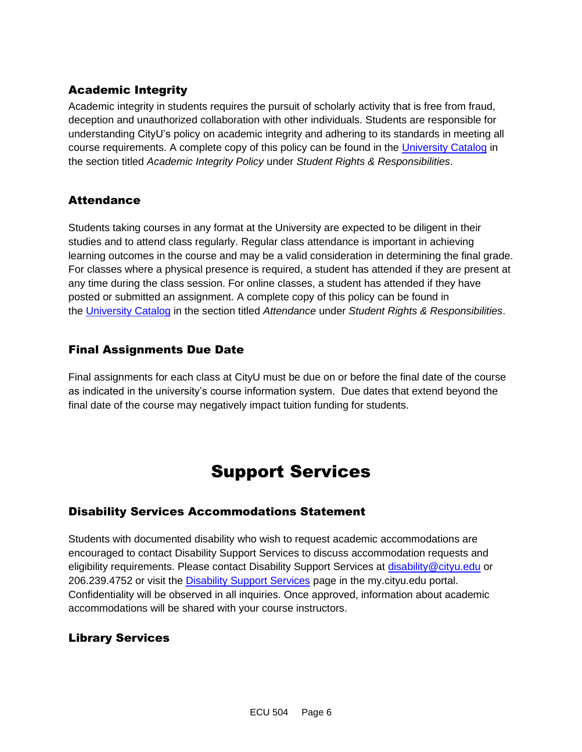#### Academic Integrity

Academic integrity in students requires the pursuit of scholarly activity that is free from fraud, deception and unauthorized collaboration with other individuals. Students are responsible for understanding CityU's policy on academic integrity and adhering to its standards in meeting all course requirements. A complete copy of this policy can be found in the [University Catalog](https://nam11.safelinks.protection.outlook.com/?url=http%3A%2F%2Fwww.cityu.edu%2Fcatalog%2F&data=04%7C01%7Claker%40cityu.edu%7Cbc558c70c10340dbaa2408d9172365a0%7Cb3fa96d9f5154662add763d854e39e63%7C1%7C0%7C637566263054341952%7CUnknown%7CTWFpbGZsb3d8eyJWIjoiMC4wLjAwMDAiLCJQIjoiV2luMzIiLCJBTiI6Ik1haWwiLCJXVCI6Mn0%3D%7C1000&sdata=aL6fsSyLtVzJgdrlE9PtZXb%2F3H6wCdrvPcw4zOoEYTI%3D&reserved=0) in the section titled *Academic Integrity Policy* under *Student Rights & Responsibilities*.

#### **Attendance**

Students taking courses in any format at the University are expected to be diligent in their studies and to attend class regularly. Regular class attendance is important in achieving learning outcomes in the course and may be a valid consideration in determining the final grade. For classes where a physical presence is required, a student has attended if they are present at any time during the class session. For online classes, a student has attended if they have posted or submitted an assignment. A complete copy of this policy can be found in the [University Catalog](https://nam11.safelinks.protection.outlook.com/?url=http%3A%2F%2Fwww.cityu.edu%2Fcatalog%2F&data=04%7C01%7Claker%40cityu.edu%7Cbc558c70c10340dbaa2408d9172365a0%7Cb3fa96d9f5154662add763d854e39e63%7C1%7C0%7C637566263054341952%7CUnknown%7CTWFpbGZsb3d8eyJWIjoiMC4wLjAwMDAiLCJQIjoiV2luMzIiLCJBTiI6Ik1haWwiLCJXVCI6Mn0%3D%7C1000&sdata=aL6fsSyLtVzJgdrlE9PtZXb%2F3H6wCdrvPcw4zOoEYTI%3D&reserved=0) in the section titled *Attendance* under *Student Rights & Responsibilities*.

#### Final Assignments Due Date

Final assignments for each class at CityU must be due on or before the final date of the course as indicated in the university's course information system. Due dates that extend beyond the final date of the course may negatively impact tuition funding for students.

### Support Services

#### Disability Services Accommodations Statement

Students with documented disability who wish to request academic accommodations are encouraged to contact Disability Support Services to discuss accommodation requests and eligibility requirements. Please contact Disability Support Services at [disability@cityu.edu](mailto:disability@cityu.edu) or 206.239.4752 or visit the [Disability Support Services](https://nam11.safelinks.protection.outlook.com/?url=https%3A%2F%2Fmy.cityu.edu%2Fdepartment%2Fdisability-support-services%2F&data=04%7C01%7Claker%40cityu.edu%7Cbc558c70c10340dbaa2408d9172365a0%7Cb3fa96d9f5154662add763d854e39e63%7C1%7C0%7C637566263054351946%7CUnknown%7CTWFpbGZsb3d8eyJWIjoiMC4wLjAwMDAiLCJQIjoiV2luMzIiLCJBTiI6Ik1haWwiLCJXVCI6Mn0%3D%7C1000&sdata=e%2FOzbhqrB5SP38rzkwNSwviN3V%2Fv%2BsJNtdettuKSolw%3D&reserved=0) page in the my.cityu.edu portal. Confidentiality will be observed in all inquiries. Once approved, information about academic accommodations will be shared with your course instructors.

#### Library Services